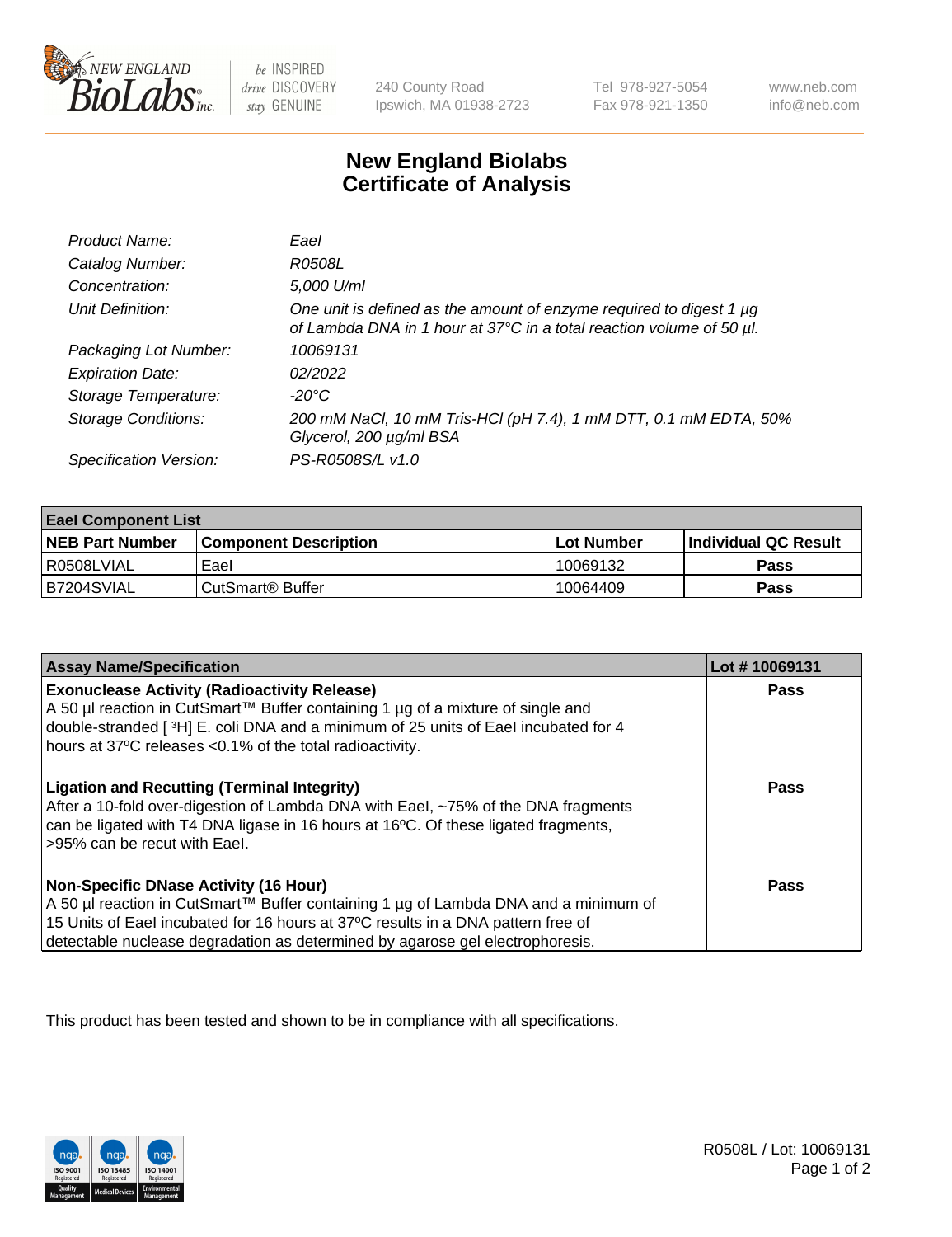

 $be$  INSPIRED drive DISCOVERY stay GENUINE

240 County Road Ipswich, MA 01938-2723 Tel 978-927-5054 Fax 978-921-1350 www.neb.com info@neb.com

## **New England Biolabs Certificate of Analysis**

| Product Name:              | Eael                                                                                                                                        |
|----------------------------|---------------------------------------------------------------------------------------------------------------------------------------------|
| Catalog Number:            | R0508L                                                                                                                                      |
| Concentration:             | 5,000 U/ml                                                                                                                                  |
| Unit Definition:           | One unit is defined as the amount of enzyme required to digest 1 µg<br>of Lambda DNA in 1 hour at 37°C in a total reaction volume of 50 µl. |
| Packaging Lot Number:      | 10069131                                                                                                                                    |
| <b>Expiration Date:</b>    | 02/2022                                                                                                                                     |
| Storage Temperature:       | $-20^{\circ}$ C                                                                                                                             |
| <b>Storage Conditions:</b> | 200 mM NaCl, 10 mM Tris-HCl (pH 7.4), 1 mM DTT, 0.1 mM EDTA, 50%<br>Glycerol, 200 µg/ml BSA                                                 |
| Specification Version:     | PS-R0508S/L v1.0                                                                                                                            |

| <b>Eael Component List</b> |                              |             |                             |  |
|----------------------------|------------------------------|-------------|-----------------------------|--|
| <b>NEB Part Number</b>     | <b>Component Description</b> | ⊺Lot Number | <b>Individual QC Result</b> |  |
| l R0508LVIAL               | Eael                         | 10069132    | Pass                        |  |
| B7204SVIAL                 | l CutSmart® Buffer           | 10064409    | Pass                        |  |

| <b>Assay Name/Specification</b>                                                                                                                                                                                                                                                                          | Lot #10069131 |
|----------------------------------------------------------------------------------------------------------------------------------------------------------------------------------------------------------------------------------------------------------------------------------------------------------|---------------|
| <b>Exonuclease Activity (Radioactivity Release)</b><br>A 50 µl reaction in CutSmart™ Buffer containing 1 µg of a mixture of single and<br>double-stranded [3H] E. coli DNA and a minimum of 25 units of Eael incubated for 4<br>hours at 37°C releases <0.1% of the total radioactivity.                 | Pass          |
| <b>Ligation and Recutting (Terminal Integrity)</b><br>After a 10-fold over-digestion of Lambda DNA with Eael, ~75% of the DNA fragments<br>can be ligated with T4 DNA ligase in 16 hours at 16 <sup>o</sup> C. Of these ligated fragments,<br>l >95% can be recut with Eael.                             | Pass          |
| <b>Non-Specific DNase Activity (16 Hour)</b><br>A 50 µl reaction in CutSmart™ Buffer containing 1 µg of Lambda DNA and a minimum of<br>15 Units of Eael incubated for 16 hours at 37°C results in a DNA pattern free of<br>detectable nuclease degradation as determined by agarose gel electrophoresis. | Pass          |

This product has been tested and shown to be in compliance with all specifications.